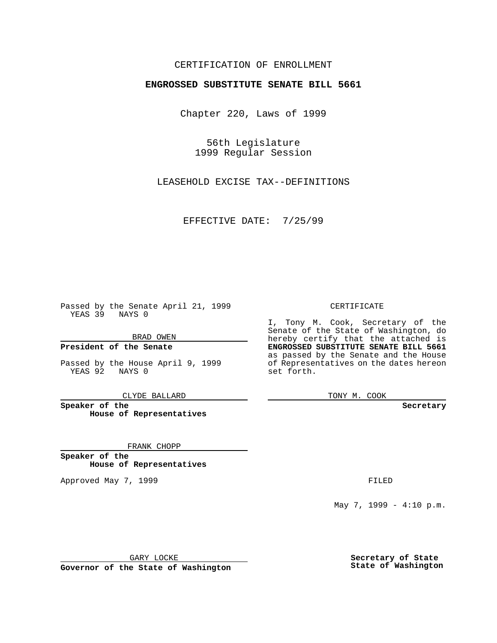### CERTIFICATION OF ENROLLMENT

# **ENGROSSED SUBSTITUTE SENATE BILL 5661**

Chapter 220, Laws of 1999

56th Legislature 1999 Regular Session

LEASEHOLD EXCISE TAX--DEFINITIONS

EFFECTIVE DATE: 7/25/99

Passed by the Senate April 21, 1999 YEAS 39 NAYS 0

BRAD OWEN

**President of the Senate**

Passed by the House April 9, 1999 YEAS 92 NAYS 0

CLYDE BALLARD

**Speaker of the House of Representatives**

FRANK CHOPP

**Speaker of the House of Representatives**

Approved May 7, 1999 **FILED** 

CERTIFICATE

I, Tony M. Cook, Secretary of the Senate of the State of Washington, do hereby certify that the attached is **ENGROSSED SUBSTITUTE SENATE BILL 5661** as passed by the Senate and the House of Representatives on the dates hereon set forth.

TONY M. COOK

**Secretary**

May 7, 1999 - 4:10 p.m.

GARY LOCKE

**Governor of the State of Washington**

**Secretary of State State of Washington**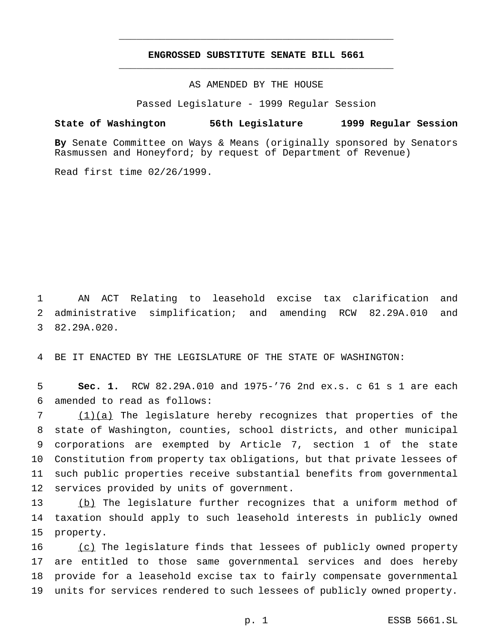## **ENGROSSED SUBSTITUTE SENATE BILL 5661** \_\_\_\_\_\_\_\_\_\_\_\_\_\_\_\_\_\_\_\_\_\_\_\_\_\_\_\_\_\_\_\_\_\_\_\_\_\_\_\_\_\_\_\_\_\_\_

\_\_\_\_\_\_\_\_\_\_\_\_\_\_\_\_\_\_\_\_\_\_\_\_\_\_\_\_\_\_\_\_\_\_\_\_\_\_\_\_\_\_\_\_\_\_\_

#### AS AMENDED BY THE HOUSE

Passed Legislature - 1999 Regular Session

#### **State of Washington 56th Legislature 1999 Regular Session**

**By** Senate Committee on Ways & Means (originally sponsored by Senators Rasmussen and Honeyford; by request of Department of Revenue)

Read first time 02/26/1999.

1 AN ACT Relating to leasehold excise tax clarification and 2 administrative simplification; and amending RCW 82.29A.010 and 3 82.29A.020.

4 BE IT ENACTED BY THE LEGISLATURE OF THE STATE OF WASHINGTON:

5 **Sec. 1.** RCW 82.29A.010 and 1975-'76 2nd ex.s. c 61 s 1 are each 6 amended to read as follows:

 (1)(a) The legislature hereby recognizes that properties of the state of Washington, counties, school districts, and other municipal corporations are exempted by Article 7, section 1 of the state Constitution from property tax obligations, but that private lessees of such public properties receive substantial benefits from governmental services provided by units of government.

13 (b) The legislature further recognizes that a uniform method of 14 taxation should apply to such leasehold interests in publicly owned 15 property.

16 (c) The legislature finds that lessees of publicly owned property are entitled to those same governmental services and does hereby provide for a leasehold excise tax to fairly compensate governmental units for services rendered to such lessees of publicly owned property.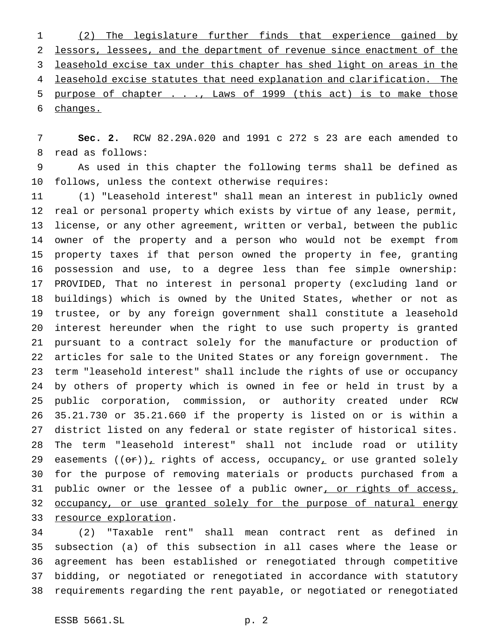(2) The legislature further finds that experience gained by lessors, lessees, and the department of revenue since enactment of the leasehold excise tax under this chapter has shed light on areas in the leasehold excise statutes that need explanation and clarification. The 5 purpose of chapter . . ., Laws of 1999 (this act) is to make those changes.

 **Sec. 2.** RCW 82.29A.020 and 1991 c 272 s 23 are each amended to read as follows:

 As used in this chapter the following terms shall be defined as follows, unless the context otherwise requires:

 (1) "Leasehold interest" shall mean an interest in publicly owned real or personal property which exists by virtue of any lease, permit, license, or any other agreement, written or verbal, between the public owner of the property and a person who would not be exempt from property taxes if that person owned the property in fee, granting possession and use, to a degree less than fee simple ownership: PROVIDED, That no interest in personal property (excluding land or buildings) which is owned by the United States, whether or not as trustee, or by any foreign government shall constitute a leasehold interest hereunder when the right to use such property is granted pursuant to a contract solely for the manufacture or production of articles for sale to the United States or any foreign government. The term "leasehold interest" shall include the rights of use or occupancy by others of property which is owned in fee or held in trust by a public corporation, commission, or authority created under RCW 35.21.730 or 35.21.660 if the property is listed on or is within a district listed on any federal or state register of historical sites. The term "leasehold interest" shall not include road or utility 29 easements  $((\theta \cdot \tau))_T$  rights of access, occupancy, or use granted solely for the purpose of removing materials or products purchased from a 31 public owner or the lessee of a public owner<u>, or rights of access,</u> 32 occupancy, or use granted solely for the purpose of natural energy 33 resource exploration.

 (2) "Taxable rent" shall mean contract rent as defined in subsection (a) of this subsection in all cases where the lease or agreement has been established or renegotiated through competitive bidding, or negotiated or renegotiated in accordance with statutory requirements regarding the rent payable, or negotiated or renegotiated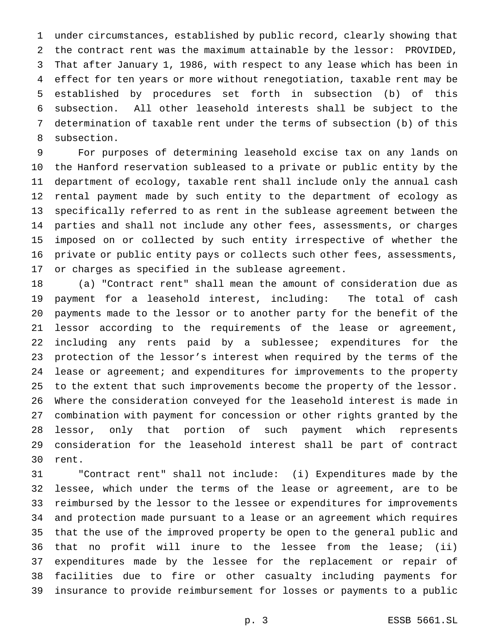under circumstances, established by public record, clearly showing that the contract rent was the maximum attainable by the lessor: PROVIDED, That after January 1, 1986, with respect to any lease which has been in effect for ten years or more without renegotiation, taxable rent may be established by procedures set forth in subsection (b) of this subsection. All other leasehold interests shall be subject to the determination of taxable rent under the terms of subsection (b) of this subsection.

 For purposes of determining leasehold excise tax on any lands on the Hanford reservation subleased to a private or public entity by the department of ecology, taxable rent shall include only the annual cash rental payment made by such entity to the department of ecology as specifically referred to as rent in the sublease agreement between the parties and shall not include any other fees, assessments, or charges imposed on or collected by such entity irrespective of whether the private or public entity pays or collects such other fees, assessments, or charges as specified in the sublease agreement.

 (a) "Contract rent" shall mean the amount of consideration due as payment for a leasehold interest, including: The total of cash payments made to the lessor or to another party for the benefit of the lessor according to the requirements of the lease or agreement, including any rents paid by a sublessee; expenditures for the protection of the lessor's interest when required by the terms of the lease or agreement; and expenditures for improvements to the property to the extent that such improvements become the property of the lessor. Where the consideration conveyed for the leasehold interest is made in combination with payment for concession or other rights granted by the lessor, only that portion of such payment which represents consideration for the leasehold interest shall be part of contract rent.

 "Contract rent" shall not include: (i) Expenditures made by the lessee, which under the terms of the lease or agreement, are to be reimbursed by the lessor to the lessee or expenditures for improvements and protection made pursuant to a lease or an agreement which requires that the use of the improved property be open to the general public and that no profit will inure to the lessee from the lease; (ii) expenditures made by the lessee for the replacement or repair of facilities due to fire or other casualty including payments for insurance to provide reimbursement for losses or payments to a public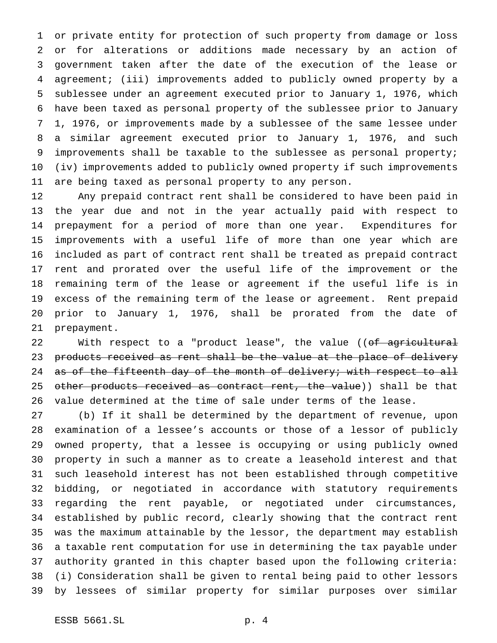or private entity for protection of such property from damage or loss or for alterations or additions made necessary by an action of government taken after the date of the execution of the lease or agreement; (iii) improvements added to publicly owned property by a sublessee under an agreement executed prior to January 1, 1976, which have been taxed as personal property of the sublessee prior to January 1, 1976, or improvements made by a sublessee of the same lessee under a similar agreement executed prior to January 1, 1976, and such improvements shall be taxable to the sublessee as personal property; (iv) improvements added to publicly owned property if such improvements are being taxed as personal property to any person.

 Any prepaid contract rent shall be considered to have been paid in the year due and not in the year actually paid with respect to prepayment for a period of more than one year. Expenditures for improvements with a useful life of more than one year which are included as part of contract rent shall be treated as prepaid contract rent and prorated over the useful life of the improvement or the remaining term of the lease or agreement if the useful life is in excess of the remaining term of the lease or agreement. Rent prepaid prior to January 1, 1976, shall be prorated from the date of prepayment.

22 With respect to a "product lease", the value ((of agricultural products received as rent shall be the value at the place of delivery 24 as of the fifteenth day of the month of delivery; with respect to all 25 other products received as contract rent, the value)) shall be that value determined at the time of sale under terms of the lease.

 (b) If it shall be determined by the department of revenue, upon examination of a lessee's accounts or those of a lessor of publicly owned property, that a lessee is occupying or using publicly owned property in such a manner as to create a leasehold interest and that such leasehold interest has not been established through competitive bidding, or negotiated in accordance with statutory requirements regarding the rent payable, or negotiated under circumstances, established by public record, clearly showing that the contract rent was the maximum attainable by the lessor, the department may establish a taxable rent computation for use in determining the tax payable under authority granted in this chapter based upon the following criteria: (i) Consideration shall be given to rental being paid to other lessors by lessees of similar property for similar purposes over similar